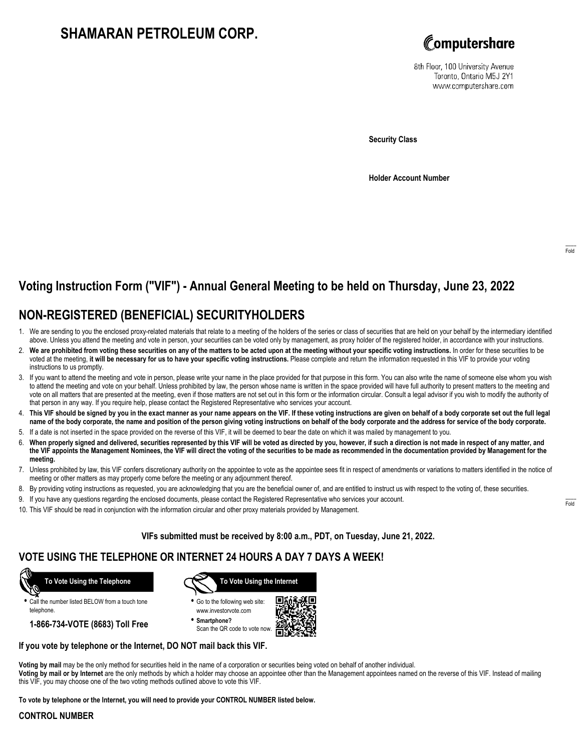# **SHAMARAN PETROLEUM CORP.**



8th Floor, 100 University Avenue Toronto, Ontario M5J 2Y1 www.computershare.com

**Security Class**

**Holder Account Number**

# **Voting Instruction Form ("VIF") - Annual General Meeting to be held on Thursday, June 23, 2022**

## **NON-REGISTERED (BENEFICIAL) SECURITYHOLDERS**

- 1. We are sending to you the enclosed proxy-related materials that relate to a meeting of the holders of the series or class of securities that are held on your behalf by the intermediary identified above. Unless you attend the meeting and vote in person, your securities can be voted only by management, as proxy holder of the registered holder, in accordance with your instructions.
- 2. **We are prohibited from voting these securities on any of the matters to be acted upon at the meeting without your specific voting instructions.** In order for these securities to be voted at the meeting, **it will be necessary for us to have your specific voting instructions.** Please complete and return the information requested in this VIF to provide your voting instructions to us promptly.
- 3. If you want to attend the meeting and vote in person, please write your name in the place provided for that purpose in this form. You can also write the name of someone else whom you wish to attend the meeting and vote on your behalf. Unless prohibited by law, the person whose name is written in the space provided will have full authority to present matters to the meeting and vote on all matters that are presented at the meeting, even if those matters are not set out in this form or the information circular. Consult a legal advisor if you wish to modify the authority of that person in any way. If you require help, please contact the Registered Representative who services your account.
- 4. **This VIF should be signed by you in the exact manner as your name appears on the VIF. If these voting instructions are given on behalf of a body corporate set out the full legal name of the body corporate, the name and position of the person giving voting instructions on behalf of the body corporate and the address for service of the body corporate.**
- 5. If a date is not inserted in the space provided on the reverse of this VIF, it will be deemed to bear the date on which it was mailed by management to you.
- 6. **When properly signed and delivered, securities represented by this VIF will be voted as directed by you, however, if such a direction is not made in respect of any matter, and the VIF appoints the Management Nominees, the VIF will direct the voting of the securities to be made as recommended in the documentation provided by Management for the meeting.**
- 7. Unless prohibited by law, this VIF confers discretionary authority on the appointee to vote as the appointee sees fit in respect of amendments or variations to matters identified in the notice of meeting or other matters as may properly come before the meeting or any adjournment thereof.
- 8. By providing voting instructions as requested, you are acknowledging that you are the beneficial owner of, and are entitled to instruct us with respect to the voting of, these securities.
- 9. If you have any questions regarding the enclosed documents, please contact the Registered Representative who services your account.
- 10. This VIF should be read in conjunction with the information circular and other proxy materials provided by Management.

**VIFs submitted must be received by 8:00 a.m., PDT, on Tuesday, June 21, 2022.**

### **VOTE USING THE TELEPHONE OR INTERNET 24 HOURS A DAY 7 DAYS A WEEK!**



**•** Call the number listed BELOW from a touch tone telephone.

**1-866-734-VOTE (8683) Toll Free**



**•** Go to the following web site: www.investorvote.com

**• Smartphone?** Scan the QR code to vote now.



#### **If you vote by telephone or the Internet, DO NOT mail back this VIF.**

**Voting by mail** may be the only method for securities held in the name of a corporation or securities being voted on behalf of another individual. **Voting by mail or by Internet** are the only methods by which a holder may choose an appointee other than the Management appointees named on the reverse of this VIF. Instead of mailing this VIF, you may choose one of the two voting methods outlined above to vote this VIF.

**To vote by telephone or the Internet, you will need to provide your CONTROL NUMBER listed below.**

#### **CONTROL NUMBER**